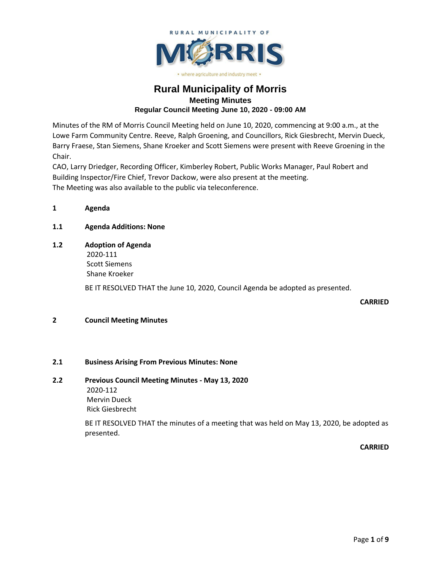

# · where agriculture and industry meet ·

# **Rural Municipality of Morris Meeting Minutes Regular Council Meeting June 10, 2020 - 09:00 AM**

Minutes of the RM of Morris Council Meeting held on June 10, 2020, commencing at 9:00 a.m., at the Lowe Farm Community Centre. Reeve, Ralph Groening, and Councillors, Rick Giesbrecht, Mervin Dueck, Barry Fraese, Stan Siemens, Shane Kroeker and Scott Siemens were present with Reeve Groening in the Chair.

CAO, Larry Driedger, Recording Officer, Kimberley Robert, Public Works Manager, Paul Robert and Building Inspector/Fire Chief, Trevor Dackow, were also present at the meeting. The Meeting was also available to the public via teleconference.

**1 Agenda**

# **1.1 Agenda Additions: None**

**1.2 Adoption of Agenda** 2020-111

Scott Siemens Shane Kroeker

BE IT RESOLVED THAT the June 10, 2020, Council Agenda be adopted as presented.

**CARRIED**

# **2 Council Meeting Minutes**

# **2.1 Business Arising From Previous Minutes: None**

# **2.2 Previous Council Meeting Minutes - May 13, 2020**

2020-112 Mervin Dueck Rick Giesbrecht

BE IT RESOLVED THAT the minutes of a meeting that was held on May 13, 2020, be adopted as presented.

**CARRIED**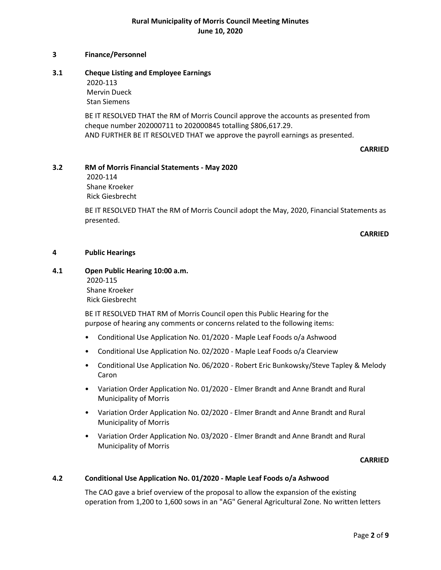#### **3 Finance/Personnel**

### **3.1 Cheque Listing and Employee Earnings**

2020-113 Mervin Dueck Stan Siemens

BE IT RESOLVED THAT the RM of Morris Council approve the accounts as presented from cheque number 202000711 to 202000845 totalling \$806,617.29. AND FURTHER BE IT RESOLVED THAT we approve the payroll earnings as presented.

#### **CARRIED**

### **3.2 RM of Morris Financial Statements - May 2020**

2020-114 Shane Kroeker Rick Giesbrecht

BE IT RESOLVED THAT the RM of Morris Council adopt the May, 2020, Financial Statements as presented.

**CARRIED**

#### **4 Public Hearings**

# **4.1 Open Public Hearing 10:00 a.m.** 2020-115 Shane Kroeker

Rick Giesbrecht

BE IT RESOLVED THAT RM of Morris Council open this Public Hearing for the purpose of hearing any comments or concerns related to the following items:

- Conditional Use Application No. 01/2020 Maple Leaf Foods o/a Ashwood
- Conditional Use Application No. 02/2020 Maple Leaf Foods o/a Clearview
- Conditional Use Application No. 06/2020 Robert Eric Bunkowsky/Steve Tapley & Melody Caron
- Variation Order Application No. 01/2020 Elmer Brandt and Anne Brandt and Rural Municipality of Morris
- Variation Order Application No. 02/2020 Elmer Brandt and Anne Brandt and Rural Municipality of Morris
- Variation Order Application No. 03/2020 Elmer Brandt and Anne Brandt and Rural Municipality of Morris

#### **CARRIED**

#### **4.2 Conditional Use Application No. 01/2020 - Maple Leaf Foods o/a Ashwood**

The CAO gave a brief overview of the proposal to allow the expansion of the existing operation from 1,200 to 1,600 sows in an "AG" General Agricultural Zone. No written letters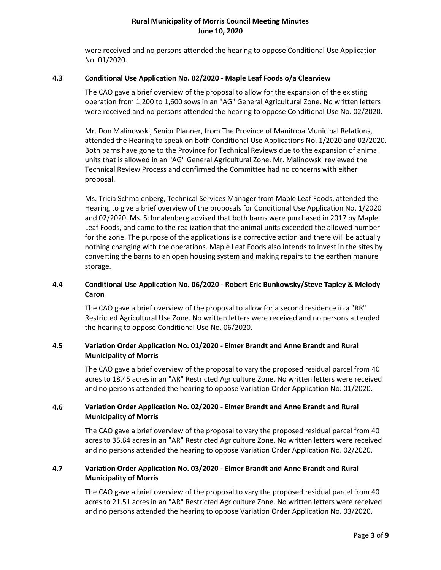were received and no persons attended the hearing to oppose Conditional Use Application No. 01/2020.

### **4.3 Conditional Use Application No. 02/2020 - Maple Leaf Foods o/a Clearview**

The CAO gave a brief overview of the proposal to allow for the expansion of the existing operation from 1,200 to 1,600 sows in an "AG" General Agricultural Zone. No written letters were received and no persons attended the hearing to oppose Conditional Use No. 02/2020.

Mr. Don Malinowski, Senior Planner, from The Province of Manitoba Municipal Relations, attended the Hearing to speak on both Conditional Use Applications No. 1/2020 and 02/2020. Both barns have gone to the Province for Technical Reviews due to the expansion of animal units that is allowed in an "AG" General Agricultural Zone. Mr. Malinowski reviewed the Technical Review Process and confirmed the Committee had no concerns with either proposal.

Ms. Tricia Schmalenberg, Technical Services Manager from Maple Leaf Foods, attended the Hearing to give a brief overview of the proposals for Conditional Use Application No. 1/2020 and 02/2020. Ms. Schmalenberg advised that both barns were purchased in 2017 by Maple Leaf Foods, and came to the realization that the animal units exceeded the allowed number for the zone. The purpose of the applications is a corrective action and there will be actually nothing changing with the operations. Maple Leaf Foods also intends to invest in the sites by converting the barns to an open housing system and making repairs to the earthen manure storage.

# **4.4 Conditional Use Application No. 06/2020 - Robert Eric Bunkowsky/Steve Tapley & Melody Caron**

The CAO gave a brief overview of the proposal to allow for a second residence in a "RR" Restricted Agricultural Use Zone. No written letters were received and no persons attended the hearing to oppose Conditional Use No. 06/2020.

# **4.5 Variation Order Application No. 01/2020 - Elmer Brandt and Anne Brandt and Rural Municipality of Morris**

The CAO gave a brief overview of the proposal to vary the proposed residual parcel from 40 acres to 18.45 acres in an "AR" Restricted Agriculture Zone. No written letters were received and no persons attended the hearing to oppose Variation Order Application No. 01/2020.

# **4.6 Variation Order Application No. 02/2020 - Elmer Brandt and Anne Brandt and Rural Municipality of Morris**

The CAO gave a brief overview of the proposal to vary the proposed residual parcel from 40 acres to 35.64 acres in an "AR" Restricted Agriculture Zone. No written letters were received and no persons attended the hearing to oppose Variation Order Application No. 02/2020.

# **4.7 Variation Order Application No. 03/2020 - Elmer Brandt and Anne Brandt and Rural Municipality of Morris**

The CAO gave a brief overview of the proposal to vary the proposed residual parcel from 40 acres to 21.51 acres in an "AR" Restricted Agriculture Zone. No written letters were received and no persons attended the hearing to oppose Variation Order Application No. 03/2020.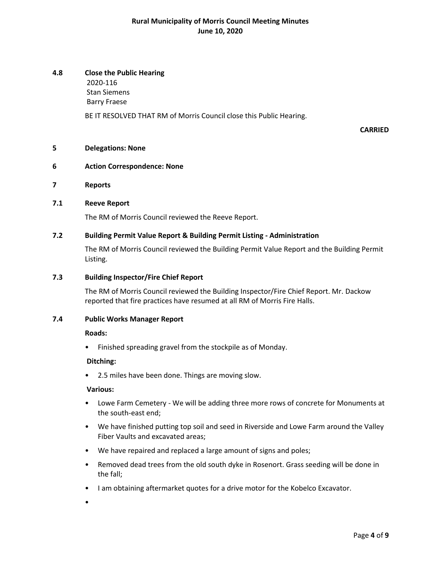# **4.8 Close the Public Hearing**

2020-116 Stan Siemens Barry Fraese

BE IT RESOLVED THAT RM of Morris Council close this Public Hearing.

#### **CARRIED**

#### **5 Delegations: None**

## **6 Action Correspondence: None**

**7 Reports**

### **7.1 Reeve Report**

The RM of Morris Council reviewed the Reeve Report.

# **7.2 Building Permit Value Report & Building Permit Listing - Administration**

The RM of Morris Council reviewed the Building Permit Value Report and the Building Permit Listing.

### **7.3 Building Inspector/Fire Chief Report**

The RM of Morris Council reviewed the Building Inspector/Fire Chief Report. Mr. Dackow reported that fire practices have resumed at all RM of Morris Fire Halls.

#### **7.4 Public Works Manager Report**

#### **Roads:**

• Finished spreading gravel from the stockpile as of Monday.

#### **Ditching:**

• 2.5 miles have been done. Things are moving slow.

#### **Various:**

- Lowe Farm Cemetery We will be adding three more rows of concrete for Monuments at the south-east end;
- We have finished putting top soil and seed in Riverside and Lowe Farm around the Valley Fiber Vaults and excavated areas;
- We have repaired and replaced a large amount of signs and poles;
- Removed dead trees from the old south dyke in Rosenort. Grass seeding will be done in the fall;
- I am obtaining aftermarket quotes for a drive motor for the Kobelco Excavator.

•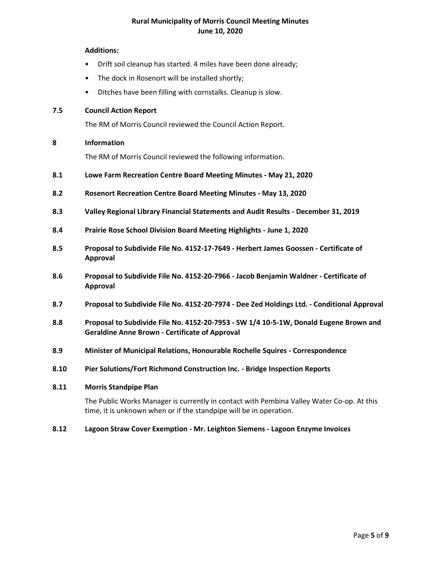### **Additions:**

- Drift soil cleanup has started. 4 miles have been done already;
- The dock in Rosenort will be installed shortly;
- Ditches have been filling with cornstalks. Cleanup is slow.

### **7.5 Council Action Report**

The RM of Morris Council reviewed the Council Action Report.

### **8 Information**

The RM of Morris Council reviewed the following information.

- **8.1 Lowe Farm Recreation Centre Board Meeting Minutes - May 21, 2020**
- **8.2 Rosenort Recreation Centre Board Meeting Minutes - May 13, 2020**
- **8.3 Valley Regional Library Financial Statements and Audit Results - December 31, 2019**
- **8.4 Prairie Rose School Division Board Meeting Highlights - June 1, 2020**
- **8.5 Proposal to Subdivide File No. 4152-17-7649 - Herbert James Goossen - Certificate of Approval**
- **8.6 Proposal to Subdivide File No. 4152-20-7966 - Jacob Benjamin Waldner - Certificate of Approval**
- **8.7 Proposal to Subdivide File No. 4152-20-7974 - Dee Zed Holdings Ltd. - Conditional Approval**
- **8.8 Proposal to Subdivide File No. 4152-20-7953 - SW 1/4 10-5-1W, Donald Eugene Brown and Geraldine Anne Brown - Certificate of Approval**
- **8.9 Minister of Municipal Relations, Honourable Rochelle Squires - Correspondence**
- **8.10 Pier Solutions/Fort Richmond Construction Inc. - Bridge Inspection Reports**

#### **8.11 Morris Standpipe Plan**

The Public Works Manager is currently in contact with Pembina Valley Water Co-op. At this time, it is unknown when or if the standpipe will be in operation.

#### **8.12 Lagoon Straw Cover Exemption - Mr. Leighton Siemens - Lagoon Enzyme Invoices**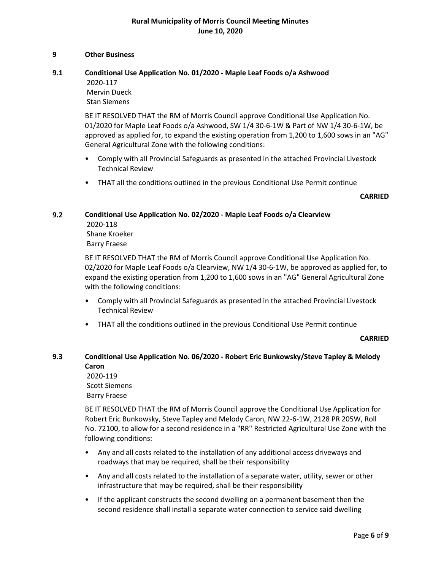#### **9 Other Business**

# **9.1 Conditional Use Application No. 01/2020 - Maple Leaf Foods o/a Ashwood**

2020-117 Mervin Dueck

Stan Siemens

BE IT RESOLVED THAT the RM of Morris Council approve Conditional Use Application No. 01/2020 for Maple Leaf Foods o/a Ashwood, SW 1/4 30-6-1W & Part of NW 1/4 30-6-1W, be approved as applied for, to expand the existing operation from 1,200 to 1,600 sows in an "AG" General Agricultural Zone with the following conditions:

- Comply with all Provincial Safeguards as presented in the attached Provincial Livestock Technical Review
- THAT all the conditions outlined in the previous Conditional Use Permit continue

#### **CARRIED**

### **9.2 Conditional Use Application No. 02/2020 - Maple Leaf Foods o/a Clearview**

2020-118 Shane Kroeker Barry Fraese

BE IT RESOLVED THAT the RM of Morris Council approve Conditional Use Application No. 02/2020 for Maple Leaf Foods o/a Clearview, NW 1/4 30-6-1W, be approved as applied for, to expand the existing operation from 1,200 to 1,600 sows in an "AG" General Agricultural Zone with the following conditions:

- Comply with all Provincial Safeguards as presented in the attached Provincial Livestock Technical Review
- THAT all the conditions outlined in the previous Conditional Use Permit continue

#### **CARRIED**

# **9.3 Conditional Use Application No. 06/2020 - Robert Eric Bunkowsky/Steve Tapley & Melody Caron**

2020-119 Scott Siemens Barry Fraese

BE IT RESOLVED THAT the RM of Morris Council approve the Conditional Use Application for Robert Eric Bunkowsky, Steve Tapley and Melody Caron, NW 22-6-1W, 2128 PR 205W, Roll No. 72100, to allow for a second residence in a "RR" Restricted Agricultural Use Zone with the following conditions:

- Any and all costs related to the installation of any additional access driveways and roadways that may be required, shall be their responsibility
- Any and all costs related to the installation of a separate water, utility, sewer or other infrastructure that may be required, shall be their responsibility
- If the applicant constructs the second dwelling on a permanent basement then the second residence shall install a separate water connection to service said dwelling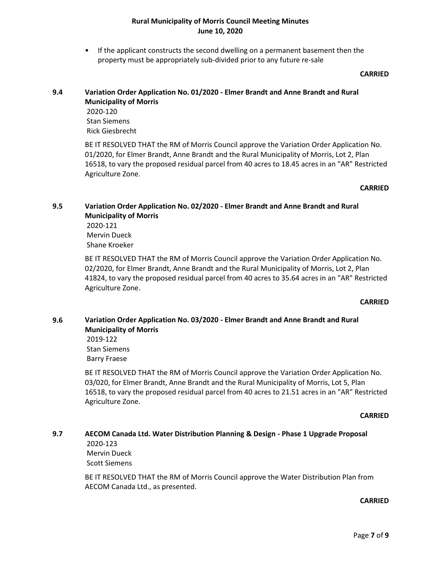• If the applicant constructs the second dwelling on a permanent basement then the property must be appropriately sub-divided prior to any future re-sale

#### **CARRIED**

# **9.4 Variation Order Application No. 01/2020 - Elmer Brandt and Anne Brandt and Rural Municipality of Morris**

2020-120 Stan Siemens Rick Giesbrecht

BE IT RESOLVED THAT the RM of Morris Council approve the Variation Order Application No. 01/2020, for Elmer Brandt, Anne Brandt and the Rural Municipality of Morris, Lot 2, Plan 16518, to vary the proposed residual parcel from 40 acres to 18.45 acres in an "AR" Restricted Agriculture Zone.

# **CARRIED**

# **9.5 Variation Order Application No. 02/2020 - Elmer Brandt and Anne Brandt and Rural Municipality of Morris**

2020-121 Mervin Dueck Shane Kroeker

BE IT RESOLVED THAT the RM of Morris Council approve the Variation Order Application No. 02/2020, for Elmer Brandt, Anne Brandt and the Rural Municipality of Morris, Lot 2, Plan 41824, to vary the proposed residual parcel from 40 acres to 35.64 acres in an "AR" Restricted Agriculture Zone.

# **CARRIED**

# **9.6 Variation Order Application No. 03/2020 - Elmer Brandt and Anne Brandt and Rural Municipality of Morris** 2019-122

Stan Siemens Barry Fraese

BE IT RESOLVED THAT the RM of Morris Council approve the Variation Order Application No. 03/020, for Elmer Brandt, Anne Brandt and the Rural Municipality of Morris, Lot 5, Plan 16518, to vary the proposed residual parcel from 40 acres to 21.51 acres in an "AR" Restricted Agriculture Zone.

# **CARRIED**

# **9.7 AECOM Canada Ltd. Water Distribution Planning & Design - Phase 1 Upgrade Proposal** 2020-123

Mervin Dueck Scott Siemens

BE IT RESOLVED THAT the RM of Morris Council approve the Water Distribution Plan from AECOM Canada Ltd., as presented.

# **CARRIED**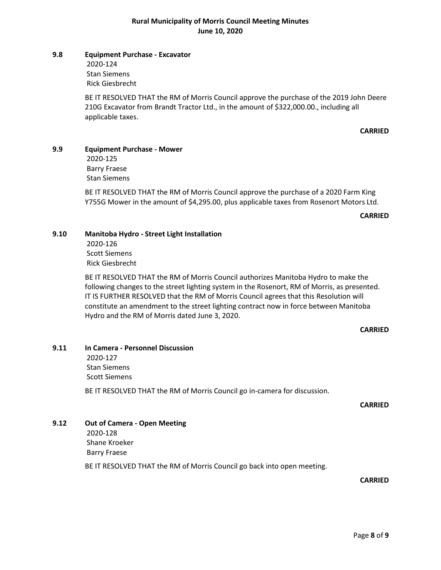#### **9.8 Equipment Purchase - Excavator**

2020-124 Stan Siemens Rick Giesbrecht

BE IT RESOLVED THAT the RM of Morris Council approve the purchase of the 2019 John Deere 210G Excavator from Brandt Tractor Ltd., in the amount of \$322,000.00., including all applicable taxes.

#### **CARRIED**

#### **9.9 Equipment Purchase - Mower**

2020-125 Barry Fraese Stan Siemens

BE IT RESOLVED THAT the RM of Morris Council approve the purchase of a 2020 Farm King Y755G Mower in the amount of \$4,295.00, plus applicable taxes from Rosenort Motors Ltd.

#### **CARRIED**

#### **9.10 Manitoba Hydro - Street Light Installation**

2020-126 Scott Siemens Rick Giesbrecht

BE IT RESOLVED THAT the RM of Morris Council authorizes Manitoba Hydro to make the following changes to the street lighting system in the Rosenort, RM of Morris, as presented. IT IS FURTHER RESOLVED that the RM of Morris Council agrees that this Resolution will constitute an amendment to the street lighting contract now in force between Manitoba Hydro and the RM of Morris dated June 3, 2020.

#### **CARRIED**

# **9.11 In Camera - Personnel Discussion**

2020-127 Stan Siemens Scott Siemens

BE IT RESOLVED THAT the RM of Morris Council go in-camera for discussion.

#### **CARRIED**

# **9.12 Out of Camera - Open Meeting**

2020-128 Shane Kroeker Barry Fraese

BE IT RESOLVED THAT the RM of Morris Council go back into open meeting.

**CARRIED**